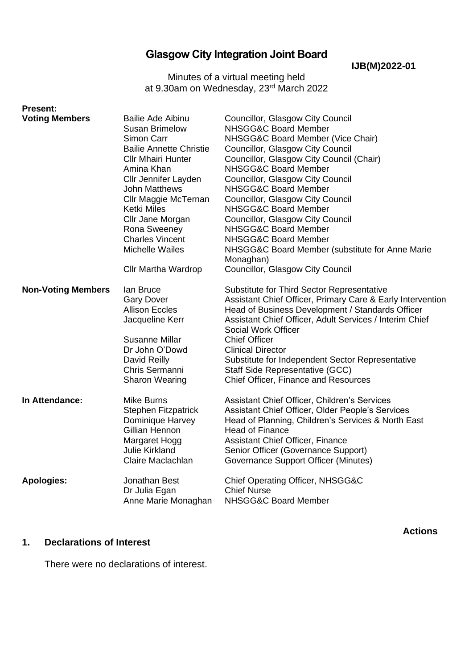# **Glasgow City Integration Joint Board**

**IJB(M)2022-01**

Minutes of a virtual meeting held at 9.30am on Wednesday, 23<sup>rd</sup> March 2022

| <b>Present:</b>           |                                                                                                                                                                                                                                                                                                                                                    |                                                                                                                                                                                                                                                                                                                                                                                                                                                                                                                       |
|---------------------------|----------------------------------------------------------------------------------------------------------------------------------------------------------------------------------------------------------------------------------------------------------------------------------------------------------------------------------------------------|-----------------------------------------------------------------------------------------------------------------------------------------------------------------------------------------------------------------------------------------------------------------------------------------------------------------------------------------------------------------------------------------------------------------------------------------------------------------------------------------------------------------------|
| <b>Voting Members</b>     | <b>Bailie Ade Aibinu</b><br><b>Susan Brimelow</b><br>Simon Carr<br><b>Bailie Annette Christie</b><br><b>Cllr Mhairi Hunter</b><br>Amina Khan<br>Cllr Jennifer Layden<br><b>John Matthews</b><br>Cllr Maggie McTernan<br>Ketki Miles<br>Cllr Jane Morgan<br>Rona Sweeney<br><b>Charles Vincent</b><br><b>Michelle Wailes</b><br>Cllr Martha Wardrop | Councillor, Glasgow City Council<br>NHSGG&C Board Member<br>NHSGG&C Board Member (Vice Chair)<br>Councillor, Glasgow City Council<br>Councillor, Glasgow City Council (Chair)<br>NHSGG&C Board Member<br>Councillor, Glasgow City Council<br>NHSGG&C Board Member<br>Councillor, Glasgow City Council<br>NHSGG&C Board Member<br>Councillor, Glasgow City Council<br>NHSGG&C Board Member<br>NHSGG&C Board Member<br>NHSGG&C Board Member (substitute for Anne Marie<br>Monaghan)<br>Councillor, Glasgow City Council |
| <b>Non-Voting Members</b> | lan Bruce<br><b>Gary Dover</b><br><b>Allison Eccles</b><br>Jacqueline Kerr<br>Susanne Millar<br>Dr John O'Dowd<br>David Reilly<br>Chris Sermanni<br><b>Sharon Wearing</b>                                                                                                                                                                          | Substitute for Third Sector Representative<br>Assistant Chief Officer, Primary Care & Early Intervention<br>Head of Business Development / Standards Officer<br>Assistant Chief Officer, Adult Services / Interim Chief<br>Social Work Officer<br><b>Chief Officer</b><br><b>Clinical Director</b><br>Substitute for Independent Sector Representative<br>Staff Side Representative (GCC)<br>Chief Officer, Finance and Resources                                                                                     |
| In Attendance:            | <b>Mike Burns</b><br><b>Stephen Fitzpatrick</b><br>Dominique Harvey<br>Gillian Hennon<br>Margaret Hogg<br><b>Julie Kirkland</b><br>Claire Maclachlan                                                                                                                                                                                               | Assistant Chief Officer, Children's Services<br>Assistant Chief Officer, Older People's Services<br>Head of Planning, Children's Services & North East<br><b>Head of Finance</b><br><b>Assistant Chief Officer, Finance</b><br>Senior Officer (Governance Support)<br><b>Governance Support Officer (Minutes)</b>                                                                                                                                                                                                     |
| <b>Apologies:</b>         | Jonathan Best<br>Dr Julia Egan<br>Anne Marie Monaghan                                                                                                                                                                                                                                                                                              | Chief Operating Officer, NHSGG&C<br><b>Chief Nurse</b><br>NHSGG&C Board Member                                                                                                                                                                                                                                                                                                                                                                                                                                        |

## **1. Declarations of Interest**

**Actions**

There were no declarations of interest.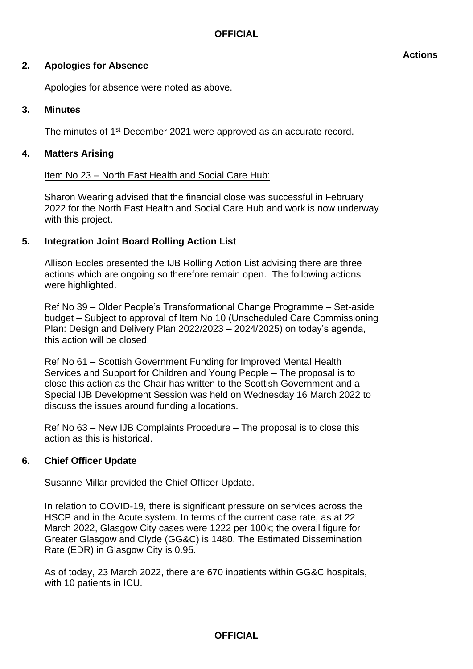Apologies for absence were noted as above.

## **3. Minutes**

The minutes of 1<sup>st</sup> December 2021 were approved as an accurate record.

# **4. Matters Arising**

# Item No 23 – North East Health and Social Care Hub:

Sharon Wearing advised that the financial close was successful in February 2022 for the North East Health and Social Care Hub and work is now underway with this project.

# **5. Integration Joint Board Rolling Action List**

Allison Eccles presented the IJB Rolling Action List advising there are three actions which are ongoing so therefore remain open. The following actions were highlighted.

Ref No 39 – Older People's Transformational Change Programme – Set-aside budget – Subject to approval of Item No 10 (Unscheduled Care Commissioning Plan: Design and Delivery Plan 2022/2023 – 2024/2025) on today's agenda, this action will be closed.

Ref No 61 – Scottish Government Funding for Improved Mental Health Services and Support for Children and Young People – The proposal is to close this action as the Chair has written to the Scottish Government and a Special IJB Development Session was held on Wednesday 16 March 2022 to discuss the issues around funding allocations.

Ref No 63 – New IJB Complaints Procedure – The proposal is to close this action as this is historical.

## **6. Chief Officer Update**

Susanne Millar provided the Chief Officer Update.

In relation to COVID-19, there is significant pressure on services across the HSCP and in the Acute system. In terms of the current case rate, as at 22 March 2022, Glasgow City cases were 1222 per 100k; the overall figure for Greater Glasgow and Clyde (GG&C) is 1480. The Estimated Dissemination Rate (EDR) in Glasgow City is 0.95.

As of today, 23 March 2022, there are 670 inpatients within GG&C hospitals, with 10 patients in ICU.

#### **Actions**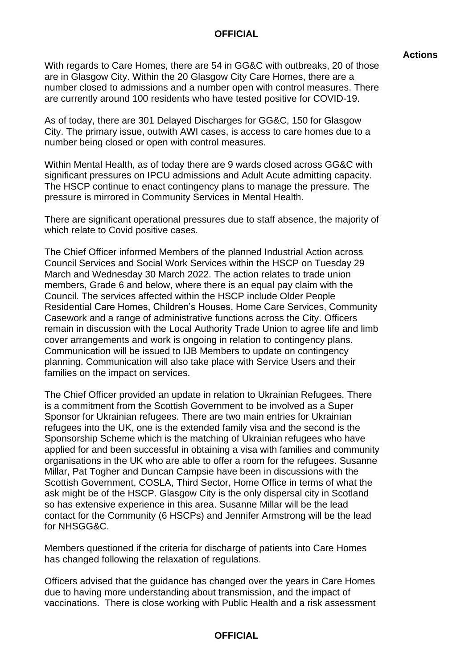#### **Actions**

With regards to Care Homes, there are 54 in GG&C with outbreaks, 20 of those are in Glasgow City. Within the 20 Glasgow City Care Homes, there are a number closed to admissions and a number open with control measures. There are currently around 100 residents who have tested positive for COVID-19.

As of today, there are 301 Delayed Discharges for GG&C, 150 for Glasgow City. The primary issue, outwith AWI cases, is access to care homes due to a number being closed or open with control measures.

Within Mental Health, as of today there are 9 wards closed across GG&C with significant pressures on IPCU admissions and Adult Acute admitting capacity. The HSCP continue to enact contingency plans to manage the pressure. The pressure is mirrored in Community Services in Mental Health.

There are significant operational pressures due to staff absence, the majority of which relate to Covid positive cases.

The Chief Officer informed Members of the planned Industrial Action across Council Services and Social Work Services within the HSCP on Tuesday 29 March and Wednesday 30 March 2022. The action relates to trade union members, Grade 6 and below, where there is an equal pay claim with the Council. The services affected within the HSCP include Older People Residential Care Homes, Children's Houses, Home Care Services, Community Casework and a range of administrative functions across the City. Officers remain in discussion with the Local Authority Trade Union to agree life and limb cover arrangements and work is ongoing in relation to contingency plans. Communication will be issued to IJB Members to update on contingency planning. Communication will also take place with Service Users and their families on the impact on services.

The Chief Officer provided an update in relation to Ukrainian Refugees. There is a commitment from the Scottish Government to be involved as a Super Sponsor for Ukrainian refugees. There are two main entries for Ukrainian refugees into the UK, one is the extended family visa and the second is the Sponsorship Scheme which is the matching of Ukrainian refugees who have applied for and been successful in obtaining a visa with families and community organisations in the UK who are able to offer a room for the refugees. Susanne Millar, Pat Togher and Duncan Campsie have been in discussions with the Scottish Government, COSLA, Third Sector, Home Office in terms of what the ask might be of the HSCP. Glasgow City is the only dispersal city in Scotland so has extensive experience in this area. Susanne Millar will be the lead contact for the Community (6 HSCPs) and Jennifer Armstrong will be the lead for NHSGG&C.

Members questioned if the criteria for discharge of patients into Care Homes has changed following the relaxation of regulations.

Officers advised that the guidance has changed over the years in Care Homes due to having more understanding about transmission, and the impact of vaccinations. There is close working with Public Health and a risk assessment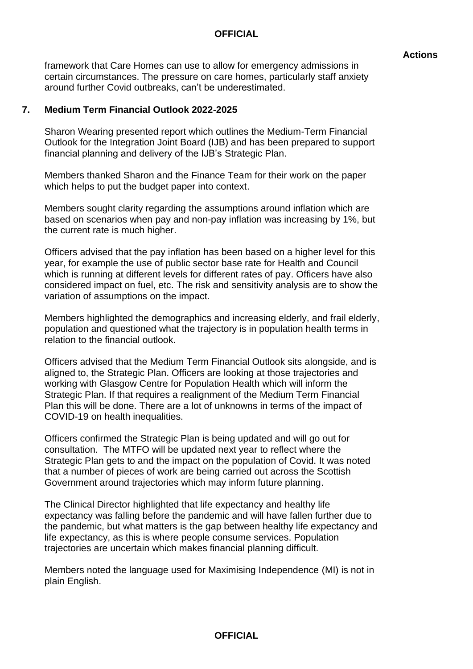#### **Actions**

framework that Care Homes can use to allow for emergency admissions in certain circumstances. The pressure on care homes, particularly staff anxiety around further Covid outbreaks, can't be underestimated.

## **7. Medium Term Financial Outlook 2022-2025**

Sharon Wearing presented report which outlines the Medium-Term Financial Outlook for the Integration Joint Board (IJB) and has been prepared to support financial planning and delivery of the IJB's Strategic Plan.

Members thanked Sharon and the Finance Team for their work on the paper which helps to put the budget paper into context.

Members sought clarity regarding the assumptions around inflation which are based on scenarios when pay and non-pay inflation was increasing by 1%, but the current rate is much higher.

Officers advised that the pay inflation has been based on a higher level for this year, for example the use of public sector base rate for Health and Council which is running at different levels for different rates of pay. Officers have also considered impact on fuel, etc. The risk and sensitivity analysis are to show the variation of assumptions on the impact.

Members highlighted the demographics and increasing elderly, and frail elderly, population and questioned what the trajectory is in population health terms in relation to the financial outlook.

Officers advised that the Medium Term Financial Outlook sits alongside, and is aligned to, the Strategic Plan. Officers are looking at those trajectories and working with Glasgow Centre for Population Health which will inform the Strategic Plan. If that requires a realignment of the Medium Term Financial Plan this will be done. There are a lot of unknowns in terms of the impact of COVID-19 on health inequalities.

Officers confirmed the Strategic Plan is being updated and will go out for consultation. The MTFO will be updated next year to reflect where the Strategic Plan gets to and the impact on the population of Covid. It was noted that a number of pieces of work are being carried out across the Scottish Government around trajectories which may inform future planning.

The Clinical Director highlighted that life expectancy and healthy life expectancy was falling before the pandemic and will have fallen further due to the pandemic, but what matters is the gap between healthy life expectancy and life expectancy, as this is where people consume services. Population trajectories are uncertain which makes financial planning difficult.

Members noted the language used for Maximising Independence (MI) is not in plain English.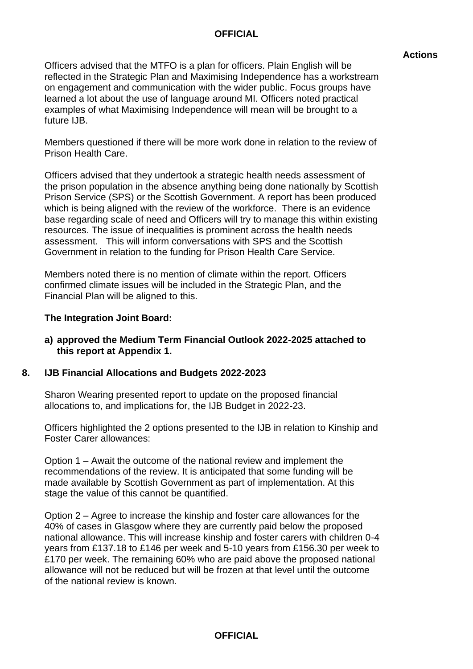#### **Actions**

Officers advised that the MTFO is a plan for officers. Plain English will be reflected in the Strategic Plan and Maximising Independence has a workstream on engagement and communication with the wider public. Focus groups have learned a lot about the use of language around MI. Officers noted practical examples of what Maximising Independence will mean will be brought to a future IJB.

Members questioned if there will be more work done in relation to the review of Prison Health Care.

Officers advised that they undertook a strategic health needs assessment of the prison population in the absence anything being done nationally by Scottish Prison Service (SPS) or the Scottish Government. A report has been produced which is being aligned with the review of the workforce. There is an evidence base regarding scale of need and Officers will try to manage this within existing resources. The issue of inequalities is prominent across the health needs assessment. This will inform conversations with SPS and the Scottish Government in relation to the funding for Prison Health Care Service.

Members noted there is no mention of climate within the report. Officers confirmed climate issues will be included in the Strategic Plan, and the Financial Plan will be aligned to this.

#### **The Integration Joint Board:**

**a) approved the Medium Term Financial Outlook 2022-2025 attached to this report at Appendix 1.**

## **8. IJB Financial Allocations and Budgets 2022-2023**

Sharon Wearing presented report to update on the proposed financial allocations to, and implications for, the IJB Budget in 2022-23.

Officers highlighted the 2 options presented to the IJB in relation to Kinship and Foster Carer allowances:

Option 1 – Await the outcome of the national review and implement the recommendations of the review. It is anticipated that some funding will be made available by Scottish Government as part of implementation. At this stage the value of this cannot be quantified.

Option 2 – Agree to increase the kinship and foster care allowances for the 40% of cases in Glasgow where they are currently paid below the proposed national allowance. This will increase kinship and foster carers with children 0-4 years from £137.18 to £146 per week and 5-10 years from £156.30 per week to £170 per week. The remaining 60% who are paid above the proposed national allowance will not be reduced but will be frozen at that level until the outcome of the national review is known.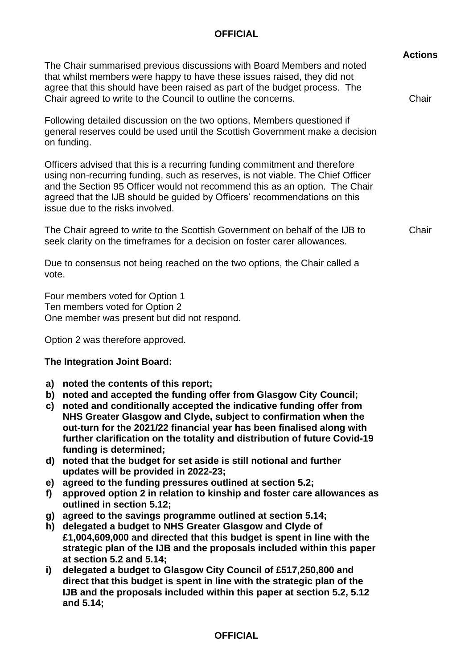|                                                                                                                                                                                                                                                                                                                                                                                                                                                                                                                                                                                                                                                                                                                                                                                                                                                                                                                                                                                                                                                                                                                                         | <b>Actions</b> |  |  |
|-----------------------------------------------------------------------------------------------------------------------------------------------------------------------------------------------------------------------------------------------------------------------------------------------------------------------------------------------------------------------------------------------------------------------------------------------------------------------------------------------------------------------------------------------------------------------------------------------------------------------------------------------------------------------------------------------------------------------------------------------------------------------------------------------------------------------------------------------------------------------------------------------------------------------------------------------------------------------------------------------------------------------------------------------------------------------------------------------------------------------------------------|----------------|--|--|
| The Chair summarised previous discussions with Board Members and noted<br>that whilst members were happy to have these issues raised, they did not<br>agree that this should have been raised as part of the budget process. The<br>Chair agreed to write to the Council to outline the concerns.                                                                                                                                                                                                                                                                                                                                                                                                                                                                                                                                                                                                                                                                                                                                                                                                                                       |                |  |  |
| Following detailed discussion on the two options, Members questioned if<br>general reserves could be used until the Scottish Government make a decision<br>on funding.                                                                                                                                                                                                                                                                                                                                                                                                                                                                                                                                                                                                                                                                                                                                                                                                                                                                                                                                                                  |                |  |  |
| Officers advised that this is a recurring funding commitment and therefore<br>using non-recurring funding, such as reserves, is not viable. The Chief Officer<br>and the Section 95 Officer would not recommend this as an option. The Chair<br>agreed that the IJB should be guided by Officers' recommendations on this<br>issue due to the risks involved.                                                                                                                                                                                                                                                                                                                                                                                                                                                                                                                                                                                                                                                                                                                                                                           |                |  |  |
| The Chair agreed to write to the Scottish Government on behalf of the IJB to<br>seek clarity on the timeframes for a decision on foster carer allowances.                                                                                                                                                                                                                                                                                                                                                                                                                                                                                                                                                                                                                                                                                                                                                                                                                                                                                                                                                                               |                |  |  |
| Due to consensus not being reached on the two options, the Chair called a<br>vote.                                                                                                                                                                                                                                                                                                                                                                                                                                                                                                                                                                                                                                                                                                                                                                                                                                                                                                                                                                                                                                                      |                |  |  |
| Four members voted for Option 1<br>Ten members voted for Option 2<br>One member was present but did not respond.                                                                                                                                                                                                                                                                                                                                                                                                                                                                                                                                                                                                                                                                                                                                                                                                                                                                                                                                                                                                                        |                |  |  |
| Option 2 was therefore approved.                                                                                                                                                                                                                                                                                                                                                                                                                                                                                                                                                                                                                                                                                                                                                                                                                                                                                                                                                                                                                                                                                                        |                |  |  |
| The Integration Joint Board:                                                                                                                                                                                                                                                                                                                                                                                                                                                                                                                                                                                                                                                                                                                                                                                                                                                                                                                                                                                                                                                                                                            |                |  |  |
| a) noted the contents of this report;<br>b) noted and accepted the funding offer from Glasgow City Council;<br>C)<br>noted and conditionally accepted the indicative funding offer from<br>NHS Greater Glasgow and Clyde, subject to confirmation when the<br>out-turn for the 2021/22 financial year has been finalised along with<br>further clarification on the totality and distribution of future Covid-19<br>funding is determined;<br>noted that the budget for set aside is still notional and further<br>d)<br>updates will be provided in 2022-23;<br>agreed to the funding pressures outlined at section 5.2;<br>e)<br>approved option 2 in relation to kinship and foster care allowances as<br>f)<br>outlined in section 5.12;<br>agreed to the savings programme outlined at section 5.14;<br>g)<br>delegated a budget to NHS Greater Glasgow and Clyde of<br>h)<br>£1,004,609,000 and directed that this budget is spent in line with the<br>strategic plan of the IJB and the proposals included within this paper<br>at section 5.2 and 5.14;<br>delegated a budget to Glasgow City Council of £517,250,800 and<br>i) |                |  |  |
| direct that this budget is spent in line with the strategic plan of the<br>IJB and the proposals included within this paper at section 5.2, 5.12<br>and 5.14;                                                                                                                                                                                                                                                                                                                                                                                                                                                                                                                                                                                                                                                                                                                                                                                                                                                                                                                                                                           |                |  |  |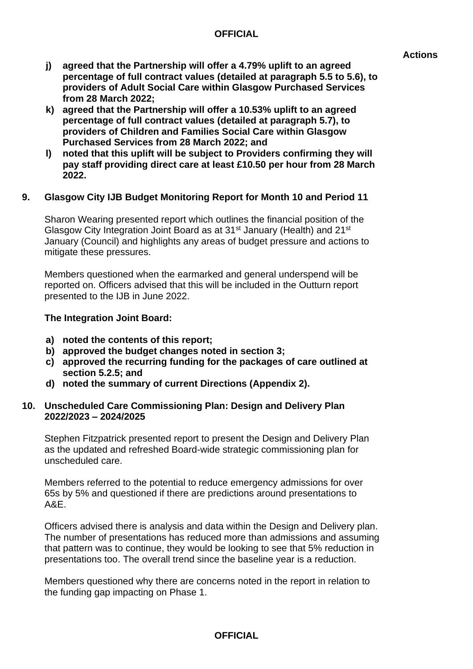- **j) agreed that the Partnership will offer a 4.79% uplift to an agreed percentage of full contract values (detailed at paragraph 5.5 to 5.6), to providers of Adult Social Care within Glasgow Purchased Services from 28 March 2022;**
- **k) agreed that the Partnership will offer a 10.53% uplift to an agreed percentage of full contract values (detailed at paragraph 5.7), to providers of Children and Families Social Care within Glasgow Purchased Services from 28 March 2022; and**
- **l) noted that this uplift will be subject to Providers confirming they will pay staff providing direct care at least £10.50 per hour from 28 March 2022.**

## **9. Glasgow City IJB Budget Monitoring Report for Month 10 and Period 11**

Sharon Wearing presented report which outlines the financial position of the Glasgow City Integration Joint Board as at 31st January (Health) and 21st January (Council) and highlights any areas of budget pressure and actions to mitigate these pressures.

Members questioned when the earmarked and general underspend will be reported on. Officers advised that this will be included in the Outturn report presented to the IJB in June 2022.

#### **The Integration Joint Board:**

- **a) noted the contents of this report;**
- **b) approved the budget changes noted in section 3;**
- **c) approved the recurring funding for the packages of care outlined at section 5.2.5; and**
- **d) noted the summary of current Directions (Appendix 2).**

#### **10. Unscheduled Care Commissioning Plan: Design and Delivery Plan 2022/2023 – 2024/2025**

Stephen Fitzpatrick presented report to present the Design and Delivery Plan as the updated and refreshed Board-wide strategic commissioning plan for unscheduled care.

Members referred to the potential to reduce emergency admissions for over 65s by 5% and questioned if there are predictions around presentations to A&E.

Officers advised there is analysis and data within the Design and Delivery plan. The number of presentations has reduced more than admissions and assuming that pattern was to continue, they would be looking to see that 5% reduction in presentations too. The overall trend since the baseline year is a reduction.

Members questioned why there are concerns noted in the report in relation to the funding gap impacting on Phase 1.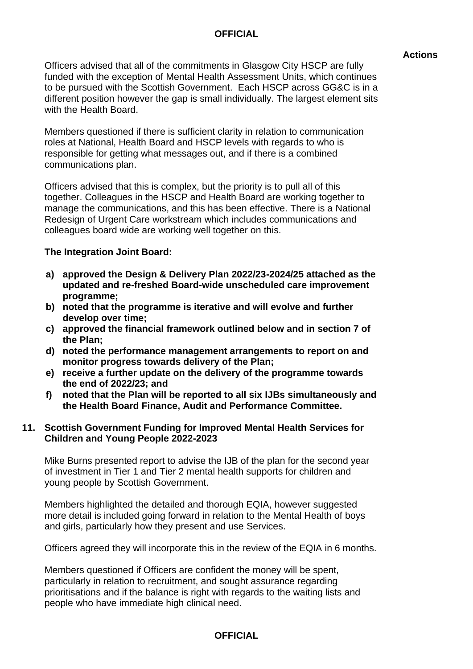#### **Actions**

Officers advised that all of the commitments in Glasgow City HSCP are fully funded with the exception of Mental Health Assessment Units, which continues to be pursued with the Scottish Government. Each HSCP across GG&C is in a different position however the gap is small individually. The largest element sits with the Health Board.

Members questioned if there is sufficient clarity in relation to communication roles at National, Health Board and HSCP levels with regards to who is responsible for getting what messages out, and if there is a combined communications plan.

Officers advised that this is complex, but the priority is to pull all of this together. Colleagues in the HSCP and Health Board are working together to manage the communications, and this has been effective. There is a National Redesign of Urgent Care workstream which includes communications and colleagues board wide are working well together on this.

#### **The Integration Joint Board:**

- **a) approved the Design & Delivery Plan 2022/23-2024/25 attached as the updated and re-freshed Board-wide unscheduled care improvement programme;**
- **b) noted that the programme is iterative and will evolve and further develop over time;**
- **c) approved the financial framework outlined below and in section 7 of the Plan;**
- **d) noted the performance management arrangements to report on and monitor progress towards delivery of the Plan;**
- **e) receive a further update on the delivery of the programme towards the end of 2022/23; and**
- **f) noted that the Plan will be reported to all six IJBs simultaneously and the Health Board Finance, Audit and Performance Committee.**

#### **11. Scottish Government Funding for Improved Mental Health Services for Children and Young People 2022-2023**

Mike Burns presented report to advise the IJB of the plan for the second year of investment in Tier 1 and Tier 2 mental health supports for children and young people by Scottish Government.

Members highlighted the detailed and thorough EQIA, however suggested more detail is included going forward in relation to the Mental Health of boys and girls, particularly how they present and use Services.

Officers agreed they will incorporate this in the review of the EQIA in 6 months.

Members questioned if Officers are confident the money will be spent, particularly in relation to recruitment, and sought assurance regarding prioritisations and if the balance is right with regards to the waiting lists and people who have immediate high clinical need.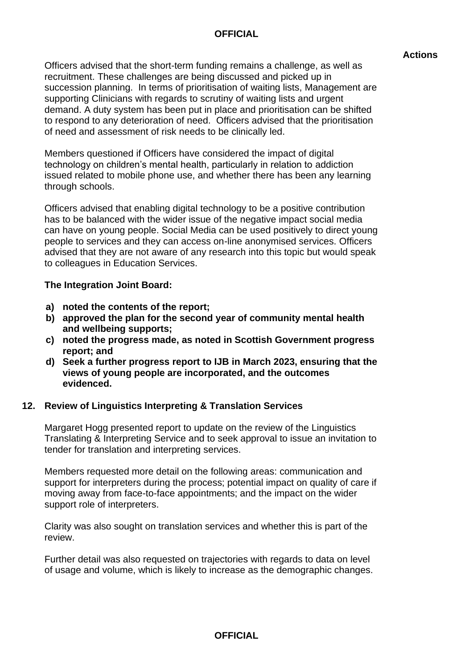#### **Actions**

Officers advised that the short-term funding remains a challenge, as well as recruitment. These challenges are being discussed and picked up in succession planning. In terms of prioritisation of waiting lists, Management are supporting Clinicians with regards to scrutiny of waiting lists and urgent demand. A duty system has been put in place and prioritisation can be shifted to respond to any deterioration of need. Officers advised that the prioritisation of need and assessment of risk needs to be clinically led.

Members questioned if Officers have considered the impact of digital technology on children's mental health, particularly in relation to addiction issued related to mobile phone use, and whether there has been any learning through schools.

Officers advised that enabling digital technology to be a positive contribution has to be balanced with the wider issue of the negative impact social media can have on young people. Social Media can be used positively to direct young people to services and they can access on-line anonymised services. Officers advised that they are not aware of any research into this topic but would speak to colleagues in Education Services.

#### **The Integration Joint Board:**

- **a) noted the contents of the report;**
- **b) approved the plan for the second year of community mental health and wellbeing supports;**
- **c) noted the progress made, as noted in Scottish Government progress report; and**
- **d) Seek a further progress report to IJB in March 2023, ensuring that the views of young people are incorporated, and the outcomes evidenced.**

## **12. Review of Linguistics Interpreting & Translation Services**

Margaret Hogg presented report to update on the review of the Linguistics Translating & Interpreting Service and to seek approval to issue an invitation to tender for translation and interpreting services.

Members requested more detail on the following areas: communication and support for interpreters during the process; potential impact on quality of care if moving away from face-to-face appointments; and the impact on the wider support role of interpreters.

Clarity was also sought on translation services and whether this is part of the review.

Further detail was also requested on trajectories with regards to data on level of usage and volume, which is likely to increase as the demographic changes.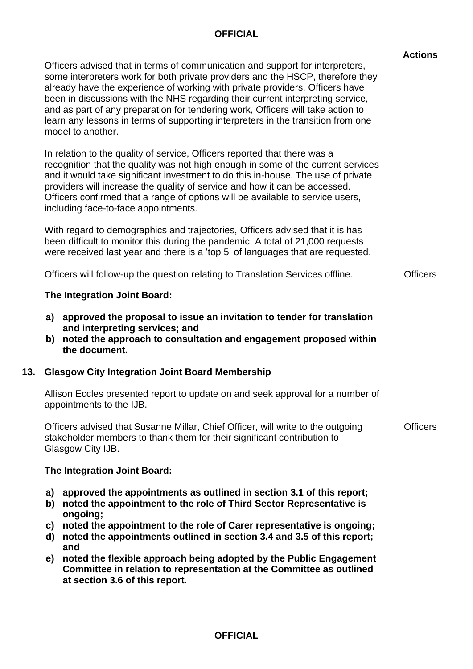|                                                                                                                                                                                                                                                                                                                                                                                                                                                                                                                               | <b>Actions</b> |
|-------------------------------------------------------------------------------------------------------------------------------------------------------------------------------------------------------------------------------------------------------------------------------------------------------------------------------------------------------------------------------------------------------------------------------------------------------------------------------------------------------------------------------|----------------|
| Officers advised that in terms of communication and support for interpreters,<br>some interpreters work for both private providers and the HSCP, therefore they<br>already have the experience of working with private providers. Officers have<br>been in discussions with the NHS regarding their current interpreting service,<br>and as part of any preparation for tendering work, Officers will take action to<br>learn any lessons in terms of supporting interpreters in the transition from one<br>model to another. |                |
| In relation to the quality of service, Officers reported that there was a<br>recognition that the quality was not high enough in some of the current services<br>and it would take significant investment to do this in-house. The use of private<br>providers will increase the quality of service and how it can be accessed.<br>Officers confirmed that a range of options will be available to service users,<br>including face-to-face appointments.                                                                     |                |

**Officers** 

With regard to demographics and trajectories, Officers advised that it is has been difficult to monitor this during the pandemic. A total of 21,000 requests were received last year and there is a 'top 5' of languages that are requested.

Officers will follow-up the question relating to Translation Services offline.

#### **The Integration Joint Board:**

- **a) approved the proposal to issue an invitation to tender for translation and interpreting services; and**
- **b) noted the approach to consultation and engagement proposed within the document.**

## **13. Glasgow City Integration Joint Board Membership**

Allison Eccles presented report to update on and seek approval for a number of appointments to the IJB.

Officers advised that Susanne Millar, Chief Officer, will write to the outgoing stakeholder members to thank them for their significant contribution to Glasgow City IJB. **Officers** 

#### **The Integration Joint Board:**

- **a) approved the appointments as outlined in section 3.1 of this report;**
- **b) noted the appointment to the role of Third Sector Representative is ongoing;**
- **c) noted the appointment to the role of Carer representative is ongoing;**
- **d) noted the appointments outlined in section 3.4 and 3.5 of this report; and**
- **e) noted the flexible approach being adopted by the Public Engagement Committee in relation to representation at the Committee as outlined at section 3.6 of this report.**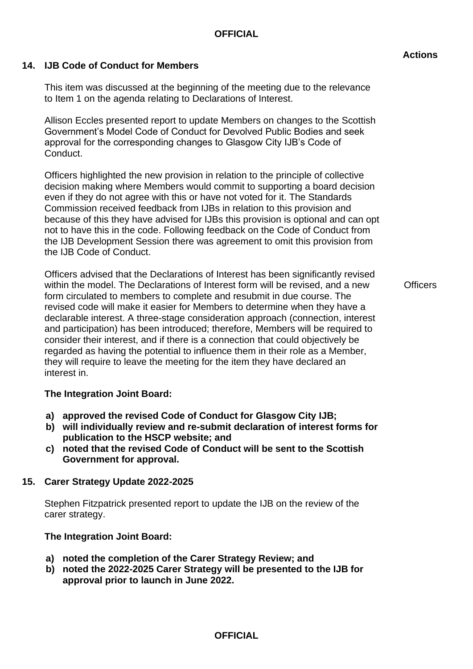## **14. IJB Code of Conduct for Members**

This item was discussed at the beginning of the meeting due to the relevance to Item 1 on the agenda relating to Declarations of Interest.

Allison Eccles presented report to update Members on changes to the Scottish Government's Model Code of Conduct for Devolved Public Bodies and seek approval for the corresponding changes to Glasgow City IJB's Code of Conduct.

Officers highlighted the new provision in relation to the principle of collective decision making where Members would commit to supporting a board decision even if they do not agree with this or have not voted for it. The Standards Commission received feedback from IJBs in relation to this provision and because of this they have advised for IJBs this provision is optional and can opt not to have this in the code. Following feedback on the Code of Conduct from the IJB Development Session there was agreement to omit this provision from the IJB Code of Conduct.

Officers advised that the Declarations of Interest has been significantly revised within the model. The Declarations of Interest form will be revised, and a new form circulated to members to complete and resubmit in due course. The revised code will make it easier for Members to determine when they have a declarable interest. A three-stage consideration approach (connection, interest and participation) has been introduced; therefore, Members will be required to consider their interest, and if there is a connection that could objectively be regarded as having the potential to influence them in their role as a Member, they will require to leave the meeting for the item they have declared an interest in.

**Officers** 

## **The Integration Joint Board:**

- **a) approved the revised Code of Conduct for Glasgow City IJB;**
- **b) will individually review and re-submit declaration of interest forms for publication to the HSCP website; and**
- **c) noted that the revised Code of Conduct will be sent to the Scottish Government for approval.**

## **15. Carer Strategy Update 2022-2025**

Stephen Fitzpatrick presented report to update the IJB on the review of the carer strategy.

## **The Integration Joint Board:**

- **a) noted the completion of the Carer Strategy Review; and**
- **b) noted the 2022-2025 Carer Strategy will be presented to the IJB for approval prior to launch in June 2022.**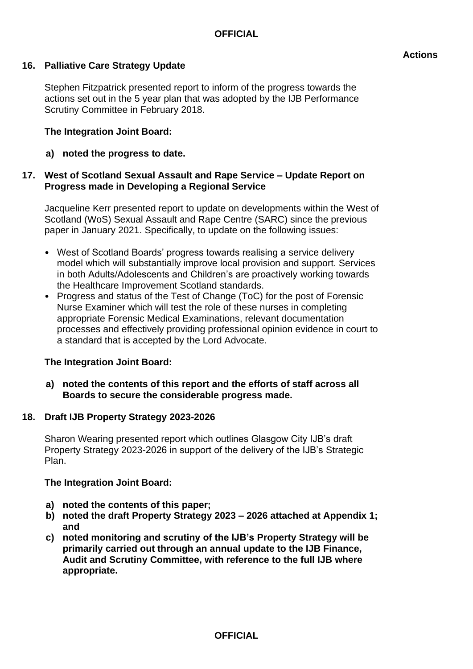## **16. Palliative Care Strategy Update**

Stephen Fitzpatrick presented report to inform of the progress towards the actions set out in the 5 year plan that was adopted by the IJB Performance Scrutiny Committee in February 2018.

#### **The Integration Joint Board:**

**a) noted the progress to date.**

#### **17. West of Scotland Sexual Assault and Rape Service – Update Report on Progress made in Developing a Regional Service**

Jacqueline Kerr presented report to update on developments within the West of Scotland (WoS) Sexual Assault and Rape Centre (SARC) since the previous paper in January 2021. Specifically, to update on the following issues:

- West of Scotland Boards' progress towards realising a service delivery model which will substantially improve local provision and support. Services in both Adults/Adolescents and Children's are proactively working towards the Healthcare Improvement Scotland standards.
- Progress and status of the Test of Change (ToC) for the post of Forensic Nurse Examiner which will test the role of these nurses in completing appropriate Forensic Medical Examinations, relevant documentation processes and effectively providing professional opinion evidence in court to a standard that is accepted by the Lord Advocate.

#### **The Integration Joint Board:**

**a) noted the contents of this report and the efforts of staff across all Boards to secure the considerable progress made.**

#### **18. Draft IJB Property Strategy 2023-2026**

Sharon Wearing presented report which outlines Glasgow City IJB's draft Property Strategy 2023-2026 in support of the delivery of the IJB's Strategic Plan.

#### **The Integration Joint Board:**

- **a) noted the contents of this paper;**
- **b) noted the draft Property Strategy 2023 – 2026 attached at Appendix 1; and**
- **c) noted monitoring and scrutiny of the IJB's Property Strategy will be primarily carried out through an annual update to the IJB Finance, Audit and Scrutiny Committee, with reference to the full IJB where appropriate.**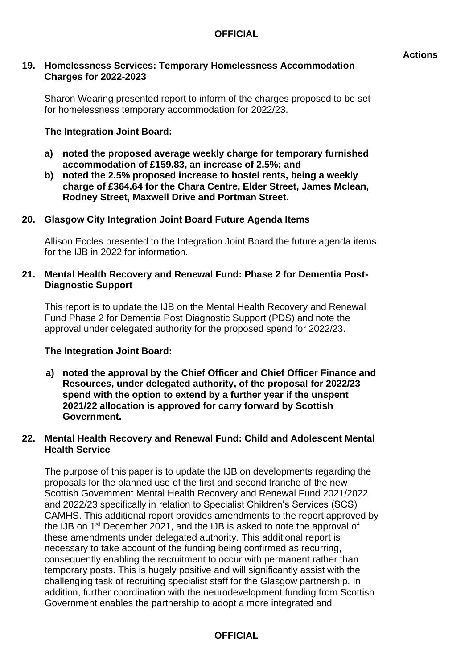#### **19. Homelessness Services: Temporary Homelessness Accommodation Charges for 2022-2023**

Sharon Wearing presented report to inform of the charges proposed to be set for homelessness temporary accommodation for 2022/23.

#### **The Integration Joint Board:**

- **a) noted the proposed average weekly charge for temporary furnished accommodation of £159.83, an increase of 2.5%; and**
- **b) noted the 2.5% proposed increase to hostel rents, being a weekly charge of £364.64 for the Chara Centre, Elder Street, James Mclean, Rodney Street, Maxwell Drive and Portman Street.**

#### **20. Glasgow City Integration Joint Board Future Agenda Items**

Allison Eccles presented to the Integration Joint Board the future agenda items for the IJB in 2022 for information.

#### **21. Mental Health Recovery and Renewal Fund: Phase 2 for Dementia Post-Diagnostic Support**

This report is to update the IJB on the Mental Health Recovery and Renewal Fund Phase 2 for Dementia Post Diagnostic Support (PDS) and note the approval under delegated authority for the proposed spend for 2022/23.

#### **The Integration Joint Board:**

**a) noted the approval by the Chief Officer and Chief Officer Finance and Resources, under delegated authority, of the proposal for 2022/23 spend with the option to extend by a further year if the unspent 2021/22 allocation is approved for carry forward by Scottish Government.**

#### **22. Mental Health Recovery and Renewal Fund: Child and Adolescent Mental Health Service**

The purpose of this paper is to update the IJB on developments regarding the proposals for the planned use of the first and second tranche of the new Scottish Government Mental Health Recovery and Renewal Fund 2021/2022 and 2022/23 specifically in relation to Specialist Children's Services (SCS) CAMHS. This additional report provides amendments to the report approved by the IJB on 1st December 2021, and the IJB is asked to note the approval of these amendments under delegated authority. This additional report is necessary to take account of the funding being confirmed as recurring, consequently enabling the recruitment to occur with permanent rather than temporary posts. This is hugely positive and will significantly assist with the challenging task of recruiting specialist staff for the Glasgow partnership. In addition, further coordination with the neurodevelopment funding from Scottish Government enables the partnership to adopt a more integrated and